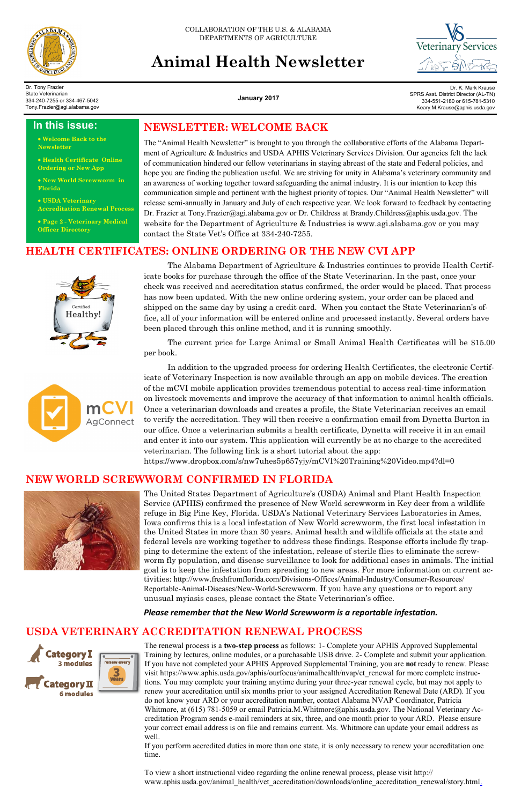

COLLABORATION OF THE U.S. & ALABAMA DEPARTMENTS OF AGRICULTURE

# **Animal Health Newsletter**



**January 2017**

Dr. Tony Frazier State Veterinarian 334-240-7255 or 334-467-5042 Tony.Frazier@agi.alabama.gov

Dr. K. Mark Krause SPRS Asst. District Director (AL-TN) 334-551-2180 or 615-781-5310 Keary.M.Krause@aphis.usda.gov

### **USDA VETERINARY ACCREDITATION RENEWAL PROCESS**



To view a short instructional video regarding the online renewal process, please visit http:// www.aphis.usda.gov/animal\_health/vet\_accreditation/downloads/online\_accreditation\_renewal/story.html.

The renewal process is a **two-step process** as follows: 1- Complete your APHIS Approved Supplemental Training by lectures, online modules, or a purchasable USB drive. 2- Complete and submit your application. If you have not completed your APHIS Approved Supplemental Training, you are **not** ready to renew. Please visit https://www.aphis.usda.gov/aphis/ourfocus/animalhealth/nvap/ct\_renewal for more complete instructions. You may complete your training anytime during your three-year renewal cycle, but may not apply to renew your accreditation until six months prior to your assigned Accreditation Renewal Date (ARD). If you do not know your ARD or your accreditation number, contact Alabama NVAP Coordinator, Patricia Whitmore, at (615) 781-5059 or email Patricia.M. Whitmore@aphis.usda.gov. The National Veterinary Accreditation Program sends e-mail reminders at six, three, and one month prior to your ARD. Please ensure your correct email address is on file and remains current. Ms. Whitmore can update your email address as well.

If you perform accredited duties in more than one state, it is only necessary to renew your accreditation one time.

### **In this issue:**

 **Welcome Back to the Newsletter**

 **Health Certificate Online Ordering or New App**

 **New World Screwworm in Florida**

 **USDA Veterinary Accreditation Renewal Process**

 **Page 2 - Veterinary Medical Officer Directory**

> The United States Department of Agriculture's (USDA) Animal and Plant Health Inspection Service (APHIS) confirmed the presence of New World screwworm in Key deer from a wildlife refuge in Big Pine Key, Florida. USDA's National Veterinary Services Laboratories in Ames, Iowa confirms this is a local infestation of New World screwworm, the first local infestation in the United States in more than 30 years. Animal health and wildlife officials at the state and federal levels are working together to address these findings. Response efforts include fly trapping to determine the extent of the infestation, release of sterile flies to eliminate the screwworm fly population, and disease surveillance to look for additional cases in animals. The initial goal is to keep the infestation from spreading to new areas. For more information on current activities: http://www.freshfromflorida.com/Divisions-Offices/Animal-Industry/Consumer-Resources/ Reportable-Animal-Diseases/New-World-Screwworm. If you have any questions or to report any unusual myiasis cases, please contact the State Veterinarian's office.

*Please remember that the New World Screwworm is a reportable infestation.*

The Alabama Department of Agriculture & Industries continues to provide Health Certificate books for purchase through the office of the State Veterinarian. In the past, once your check was received and accreditation status confirmed, the order would be placed. That process has now been updated. With the new online ordering system, your order can be placed and shipped on the same day by using a credit card. When you contact the State Veterinarian's office, all of your information will be entered online and processed instantly. Several orders have been placed through this online method, and it is running smoothly.

The current price for Large Animal or Small Animal Health Certificates will be \$15.00 per book.



In addition to the upgraded process for ordering Health Certificates, the electronic Certificate of Veterinary Inspection is now available through an app on mobile devices. The creation of the mCVI mobile application provides tremendous potential to access real-time information on livestock movements and improve the accuracy of that information to animal health officials. Once a veterinarian downloads and creates a profile, the State Veterinarian receives an email to verify the accreditation. They will then receive a confirmation email from Dynetta Burton in our office. Once a veterinarian submits a health certificate, Dynetta will receive it in an email and enter it into our system. This application will currently be at no charge to the accredited veterinarian. The following link is a short tutorial about the app: https://www.dropbox.com/s/nw7uhes5p657yjy/mCVI%20Training%20Video.mp4?dl=0

### **HEALTH CERTIFICATES: ONLINE ORDERING OR THE NEW CVI APP**



### **NEW WORLD SCREWWORM CONFIRMED IN FLORIDA**



The "Animal Health Newsletter" is brought to you through the collaborative efforts of the Alabama Department of Agriculture & Industries and USDA APHIS Veterinary Services Division. Our agencies felt the lack of communication hindered our fellow veterinarians in staying abreast of the state and Federal policies, and hope you are finding the publication useful. We are striving for unity in Alabama's veterinary community and an awareness of working together toward safeguarding the animal industry. It is our intention to keep this communication simple and pertinent with the highest priority of topics. Our "Animal Health Newsletter" will release semi-annually in January and July of each respective year. We look forward to feedback by contacting Dr. Frazier at Tony.Frazier@agi.alabama.gov or Dr. Childress at Brandy.Childress@aphis.usda.gov. The website for the Department of Agriculture & Industries is www.agi.alabama.gov or you may contact the State Vet's Office at 334-240-7255.

### **NEWSLETTER: WELCOME BACK**